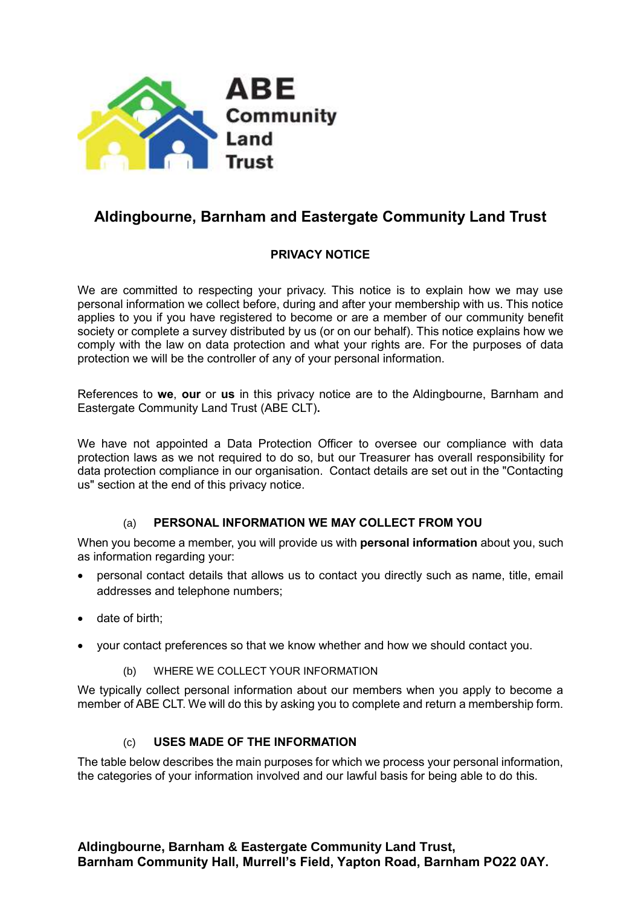

# **Aldingbourne, Barnham and Eastergate Community Land Trust**

## **PRIVACY NOTICE**

We are committed to respecting your privacy. This notice is to explain how we may use personal information we collect before, during and after your membership with us. This notice applies to you if you have registered to become or are a member of our community benefit society or complete a survey distributed by us (or on our behalf). This notice explains how we comply with the law on data protection and what your rights are. For the purposes of data protection we will be the controller of any of your personal information.

References to **we**, **our** or **us** in this privacy notice are to the Aldingbourne, Barnham and Eastergate Community Land Trust (ABE CLT)**.**

We have not appointed a Data Protection Officer to oversee our compliance with data protection laws as we not required to do so, but our Treasurer has overall responsibility for data protection compliance in our organisation. Contact details are set out in the "Contacting us" section at the end of this privacy notice.

## (a) **PERSONAL INFORMATION WE MAY COLLECT FROM YOU**

When you become a member, you will provide us with **personal information** about you, such as information regarding your:

- personal contact details that allows us to contact you directly such as name, title, email addresses and telephone numbers;
- date of birth;
- your contact preferences so that we know whether and how we should contact you.
	- (b) WHERE WE COLLECT YOUR INFORMATION

We typically collect personal information about our members when you apply to become a member of ABE CLT. We will do this by asking you to complete and return a membership form.

#### (c) **USES MADE OF THE INFORMATION**

The table below describes the main purposes for which we process your personal information, the categories of your information involved and our lawful basis for being able to do this.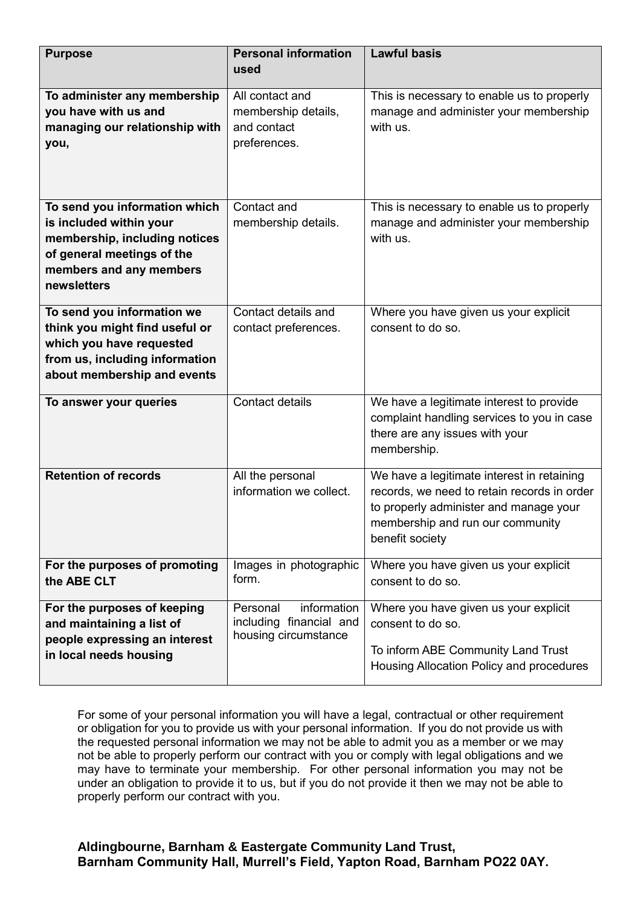| <b>Purpose</b>                                           | <b>Personal information</b>                        | <b>Lawful basis</b>                                                          |
|----------------------------------------------------------|----------------------------------------------------|------------------------------------------------------------------------------|
|                                                          | used                                               |                                                                              |
| To administer any membership                             | All contact and                                    | This is necessary to enable us to properly                                   |
| you have with us and                                     | membership details,                                | manage and administer your membership                                        |
| managing our relationship with                           | and contact                                        | with us.                                                                     |
| you,                                                     | preferences.                                       |                                                                              |
|                                                          |                                                    |                                                                              |
|                                                          |                                                    |                                                                              |
|                                                          |                                                    |                                                                              |
| To send you information which                            | Contact and                                        | This is necessary to enable us to properly                                   |
| is included within your                                  | membership details.                                | manage and administer your membership                                        |
| membership, including notices                            |                                                    | with us.                                                                     |
| of general meetings of the                               |                                                    |                                                                              |
| members and any members                                  |                                                    |                                                                              |
| newsletters                                              |                                                    |                                                                              |
| To send you information we                               | Contact details and                                | Where you have given us your explicit                                        |
| think you might find useful or                           | contact preferences.                               | consent to do so.                                                            |
| which you have requested                                 |                                                    |                                                                              |
| from us, including information                           |                                                    |                                                                              |
| about membership and events                              |                                                    |                                                                              |
|                                                          |                                                    |                                                                              |
| To answer your queries                                   | Contact details                                    | We have a legitimate interest to provide                                     |
|                                                          |                                                    | complaint handling services to you in case<br>there are any issues with your |
|                                                          |                                                    | membership.                                                                  |
|                                                          |                                                    |                                                                              |
| <b>Retention of records</b>                              | All the personal                                   | We have a legitimate interest in retaining                                   |
|                                                          | information we collect.                            | records, we need to retain records in order                                  |
|                                                          |                                                    | to properly administer and manage your                                       |
|                                                          |                                                    | membership and run our community                                             |
|                                                          |                                                    | benefit society                                                              |
| For the purposes of promoting                            | Images in photographic                             | Where you have given us your explicit                                        |
| the ABE CLT                                              | form.                                              | consent to do so.                                                            |
|                                                          |                                                    |                                                                              |
| For the purposes of keeping<br>and maintaining a list of | information<br>Personal<br>including financial and | Where you have given us your explicit<br>consent to do so.                   |
| people expressing an interest                            | housing circumstance                               |                                                                              |
| in local needs housing                                   |                                                    | To inform ABE Community Land Trust                                           |
|                                                          |                                                    | Housing Allocation Policy and procedures                                     |
|                                                          |                                                    |                                                                              |

For some of your personal information you will have a legal, contractual or other requirement or obligation for you to provide us with your personal information. If you do not provide us with the requested personal information we may not be able to admit you as a member or we may not be able to properly perform our contract with you or comply with legal obligations and we may have to terminate your membership. For other personal information you may not be under an obligation to provide it to us, but if you do not provide it then we may not be able to properly perform our contract with you.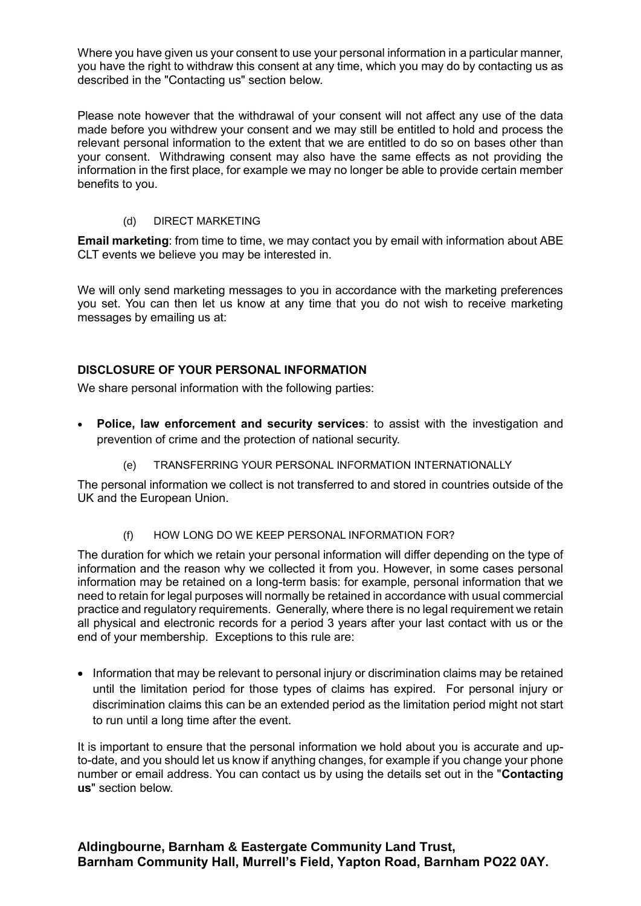Where you have given us your consent to use your personal information in a particular manner, you have the right to withdraw this consent at any time, which you may do by contacting us as described in the "Contacting us" section below.

Please note however that the withdrawal of your consent will not affect any use of the data made before you withdrew your consent and we may still be entitled to hold and process the relevant personal information to the extent that we are entitled to do so on bases other than your consent. Withdrawing consent may also have the same effects as not providing the information in the first place, for example we may no longer be able to provide certain member benefits to you.

#### (d) DIRECT MARKETING

**Email marketing**: from time to time, we may contact you by email with information about ABE CLT events we believe you may be interested in.

We will only send marketing messages to you in accordance with the marketing preferences you set. You can then let us know at any time that you do not wish to receive marketing messages by emailing us at:

### **DISCLOSURE OF YOUR PERSONAL INFORMATION**

We share personal information with the following parties:

- **Police, law enforcement and security services**: to assist with the investigation and prevention of crime and the protection of national security.
	- (e) TRANSFERRING YOUR PERSONAL INFORMATION INTERNATIONALLY

The personal information we collect is not transferred to and stored in countries outside of the UK and the European Union.

(f) HOW LONG DO WE KEEP PERSONAL INFORMATION FOR?

The duration for which we retain your personal information will differ depending on the type of information and the reason why we collected it from you. However, in some cases personal information may be retained on a long-term basis: for example, personal information that we need to retain for legal purposes will normally be retained in accordance with usual commercial practice and regulatory requirements. Generally, where there is no legal requirement we retain all physical and electronic records for a period 3 years after your last contact with us or the end of your membership. Exceptions to this rule are:

• Information that may be relevant to personal injury or discrimination claims may be retained until the limitation period for those types of claims has expired. For personal injury or discrimination claims this can be an extended period as the limitation period might not start to run until a long time after the event.

It is important to ensure that the personal information we hold about you is accurate and upto-date, and you should let us know if anything changes, for example if you change your phone number or email address. You can contact us by using the details set out in the "**Contacting us**" section below.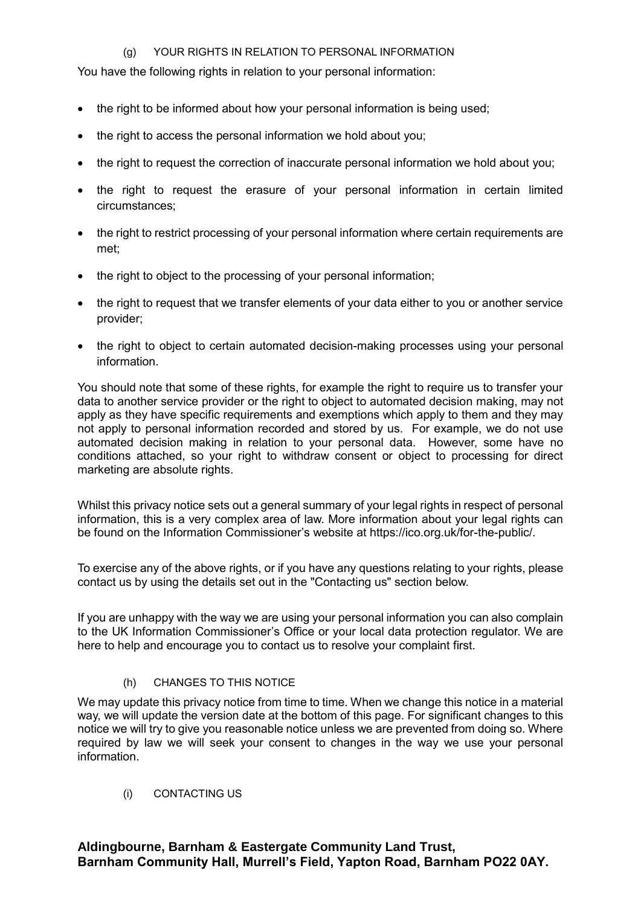#### (g) YOUR RIGHTS IN RELATION TO PERSONAL INFORMATION

You have the following rights in relation to your personal information:

- the right to be informed about how your personal information is being used:
- the right to access the personal information we hold about you;
- the right to request the correction of inaccurate personal information we hold about you;
- the right to request the erasure of your personal information in certain limited circumstances;
- the right to restrict processing of your personal information where certain requirements are met;
- the right to object to the processing of your personal information;
- the right to request that we transfer elements of your data either to you or another service provider;
- the right to object to certain automated decision-making processes using your personal information.

You should note that some of these rights, for example the right to require us to transfer your data to another service provider or the right to object to automated decision making, may not apply as they have specific requirements and exemptions which apply to them and they may not apply to personal information recorded and stored by us. For example, we do not use automated decision making in relation to your personal data. However, some have no conditions attached, so your right to withdraw consent or object to processing for direct marketing are absolute rights.

Whilst this privacy notice sets out a general summary of your legal rights in respect of personal information, this is a very complex area of law. More information about your legal rights can be found on the Information Commissioner's website at https://ico.org.uk/for-the-public/.

To exercise any of the above rights, or if you have any questions relating to your rights, please contact us by using the details set out in the "Contacting us" section below.

If you are unhappy with the way we are using your personal information you can also complain to the UK Information Commissioner's Office or your local data protection regulator. We are here to help and encourage you to contact us to resolve your complaint first.

(h) CHANGES TO THIS NOTICE

We may update this privacy notice from time to time. When we change this notice in a material way, we will update the version date at the bottom of this page. For significant changes to this notice we will try to give you reasonable notice unless we are prevented from doing so. Where required by law we will seek your consent to changes in the way we use your personal information.

(i) CONTACTING US